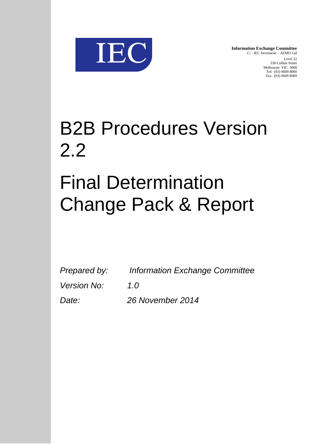

**Information Exchange Committee** C/ - IEC Secretariat – AEMO Ltd Level 22 530 Collins Street Melbourne VIC 3000 Tel: (03) 9609 8000 Fax: (03) 9609 8080

# B2B Procedures Version 2.2 Final Determination

# Change Pack & Report

| Prepared by:       | <b>Information Exchange Committee</b> |
|--------------------|---------------------------------------|
| <i>Version No:</i> | 1.0                                   |
| Date:              | 26 November 2014                      |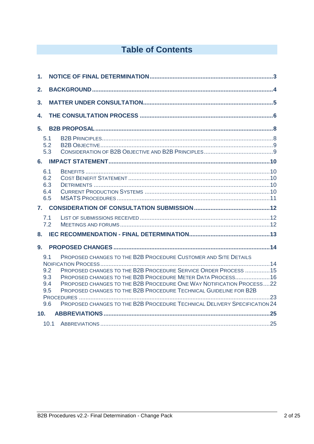## **Table of Contents**

| 1.                                     |      |                                                                                                                                                                                                                                                                                                                                                                                                                           |  |
|----------------------------------------|------|---------------------------------------------------------------------------------------------------------------------------------------------------------------------------------------------------------------------------------------------------------------------------------------------------------------------------------------------------------------------------------------------------------------------------|--|
| 2.                                     |      |                                                                                                                                                                                                                                                                                                                                                                                                                           |  |
| 3.                                     |      |                                                                                                                                                                                                                                                                                                                                                                                                                           |  |
| 4.                                     |      |                                                                                                                                                                                                                                                                                                                                                                                                                           |  |
| 5.                                     |      |                                                                                                                                                                                                                                                                                                                                                                                                                           |  |
| 5.1<br>5.2<br>5.3                      |      |                                                                                                                                                                                                                                                                                                                                                                                                                           |  |
|                                        |      |                                                                                                                                                                                                                                                                                                                                                                                                                           |  |
| 6.1<br>6.2<br>6.3<br>6.4<br>6.5        |      |                                                                                                                                                                                                                                                                                                                                                                                                                           |  |
| 7.                                     |      |                                                                                                                                                                                                                                                                                                                                                                                                                           |  |
| 7.1<br>7.2                             |      |                                                                                                                                                                                                                                                                                                                                                                                                                           |  |
| 8.                                     |      |                                                                                                                                                                                                                                                                                                                                                                                                                           |  |
| 9.                                     |      |                                                                                                                                                                                                                                                                                                                                                                                                                           |  |
| 9.1<br>9.2<br>9.3<br>9.4<br>9.5<br>9.6 |      | PROPOSED CHANGES TO THE B2B PROCEDURE CUSTOMER AND SITE DETAILS<br>PROPOSED CHANGES TO THE B2B PROCEDURE SERVICE ORDER PROCESS 15<br>PROPOSED CHANGES TO THE B2B PROCEDURE METER DATA PROCESS16<br>PROPOSED CHANGES TO THE B2B PROCEDURE ONE WAY NOTIFICATION PROCESS22<br>PROPOSED CHANGES TO THE B2B PROCEDURE TECHNICAL GUIDELINE FOR B2B<br>PROPOSED CHANGES TO THE B2B PROCEDURE TECHNICAL DELIVERY SPECIFICATION 24 |  |
| 10 <sub>1</sub>                        |      |                                                                                                                                                                                                                                                                                                                                                                                                                           |  |
|                                        | 10.1 |                                                                                                                                                                                                                                                                                                                                                                                                                           |  |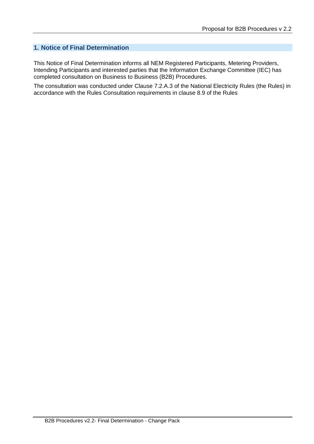### **1. Notice of Final Determination**

This Notice of Final Determination informs all NEM Registered Participants, Metering Providers, Intending Participants and interested parties that the Information Exchange Committee (IEC) has completed consultation on Business to Business (B2B) Procedures.

The consultation was conducted under Clause 7.2.A.3 of the National Electricity Rules (the Rules) in accordance with the Rules Consultation requirements in clause 8.9 of the Rules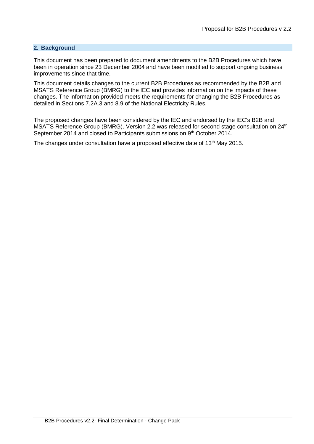#### **2. Background**

This document has been prepared to document amendments to the B2B Procedures which have been in operation since 23 December 2004 and have been modified to support ongoing business improvements since that time.

This document details changes to the current B2B Procedures as recommended by the B2B and MSATS Reference Group (BMRG) to the IEC and provides information on the impacts of these changes. The information provided meets the requirements for changing the B2B Procedures as detailed in Sections 7.2A.3 and 8.9 of the National Electricity Rules.

The proposed changes have been considered by the IEC and endorsed by the IEC's B2B and MSATS Reference Group (BMRG). Version 2.2 was released for second stage consultation on 24<sup>th</sup> September 2014 and closed to Participants submissions on 9<sup>th</sup> October 2014.

The changes under consultation have a proposed effective date of 13<sup>th</sup> May 2015.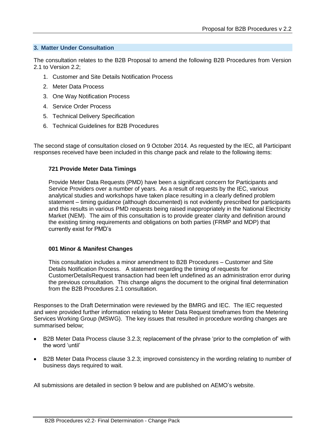#### **3. Matter Under Consultation**

The consultation relates to the B2B Proposal to amend the following B2B Procedures from Version 2.1 to Version 2.2;

- 1. Customer and Site Details Notification Process
- 2. Meter Data Process
- 3. One Way Notification Process
- 4. Service Order Process
- 5. Technical Delivery Specification
- 6. Technical Guidelines for B2B Procedures

The second stage of consultation closed on 9 October 2014. As requested by the IEC, all Participant responses received have been included in this change pack and relate to the following items:

#### **721 Provide Meter Data Timings**

Provide Meter Data Requests (PMD) have been a significant concern for Participants and Service Providers over a number of years. As a result of requests by the IEC, various analytical studies and workshops have taken place resulting in a clearly defined problem statement – timing guidance (although documented) is not evidently prescribed for participants and this results in various PMD requests being raised inappropriately in the National Electricity Market (NEM). The aim of this consultation is to provide greater clarity and definition around the existing timing requirements and obligations on both parties (FRMP and MDP) that currently exist for PMD's

#### **001 Minor & Manifest Changes**

This consultation includes a minor amendment to B2B Procedures – Customer and Site Details Notification Process. A statement regarding the timing of requests for CustomerDetailsRequest transaction had been left undefined as an administration error during the previous consultation. This change aligns the document to the original final determination from the B2B Procedures 2.1 consultation.

Responses to the Draft Determination were reviewed by the BMRG and IEC. The IEC requested and were provided further information relating to Meter Data Request timeframes from the Metering Services Working Group (MSWG). The key issues that resulted in procedure wording changes are summarised below;

- B2B Meter Data Process clause 3.2.3; replacement of the phrase 'prior to the completion of' with the word 'until'
- B2B Meter Data Process clause 3.2.3; improved consistency in the wording relating to number of business days required to wait.

All submissions are detailed in section 9 below and are published on AEMO's website.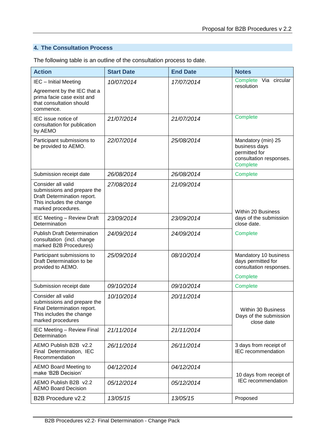## **4. The Consultation Process**

The following table is an outline of the consultation process to date.

| <b>Action</b>                                                                                                                      | <b>Start Date</b> | <b>End Date</b> | <b>Notes</b>                                                                                |
|------------------------------------------------------------------------------------------------------------------------------------|-------------------|-----------------|---------------------------------------------------------------------------------------------|
| IEC - Initial Meeting<br>Agreement by the IEC that a<br>prima facie case exist and<br>that consultation should<br>commence.        | 10/07/2014        | 17/07/2014      | Complete<br>Via circular<br>resolution                                                      |
| IEC issue notice of<br>consultation for publication<br>by AEMO                                                                     | 21/07/2014        | 21/07/2014      | Complete                                                                                    |
| Participant submissions to<br>be provided to AEMO.                                                                                 | 22/07/2014        | 25/08/2014      | Mandatory (min) 25<br>business days<br>permitted for<br>consultation responses.<br>Complete |
| Submission receipt date                                                                                                            | 26/08/2014        | 26/08/2014      | Complete                                                                                    |
| Consider all valid<br>submissions and prepare the<br>Draft Determination report.<br>This includes the change<br>marked procedures. | 27/08/2014        | 21/09/2014      | <b>Within 20 Business</b>                                                                   |
| <b>IEC Meeting - Review Draft</b><br>Determination                                                                                 | 23/09/2014        | 23/09/2014      | days of the submission<br>close date.                                                       |
| <b>Publish Draft Determination</b><br>consultation (incl. change<br>marked B2B Procedures)                                         | 24/09/2014        | 24/09/2014      | Complete                                                                                    |
| Participant submissions to<br>Draft Determination to be<br>provided to AEMO.                                                       | 25/09/2014        | 08/10/2014      | Mandatory 10 business<br>days permitted for<br>consultation responses.                      |
|                                                                                                                                    |                   |                 | Complete                                                                                    |
| Submission receipt date                                                                                                            | 09/10/2014        | 09/10/2014      | Complete                                                                                    |
| Consider all valid<br>submissions and prepare the<br>Final Determination report.<br>This includes the change<br>marked procedures  | 10/10/2014        | 20/11/2014      | Within 30 Business<br>Days of the submission<br>close date                                  |
| <b>IEC Meeting - Review Final</b><br>Determination                                                                                 | 21/11/2014        | 21/11/2014      |                                                                                             |
| AEMO Publish B2B v2.2<br>Final Determination, IEC<br>Recommendation                                                                | 26/11/2014        | 26/11/2014      | 3 days from receipt of<br>IEC recommendation                                                |
| <b>AEMO Board Meeting to</b><br>make 'B2B Decision'                                                                                | 04/12/2014        | 04/12/2014      | 10 days from receipt of                                                                     |
| AEMO Publish B2B v2.2<br><b>AEMO Board Decision</b>                                                                                | 05/12/2014        | 05/12/2014      | <b>IEC</b> recommendation                                                                   |
| B2B Procedure v2.2                                                                                                                 | 13/05/15          | 13/05/15        | Proposed                                                                                    |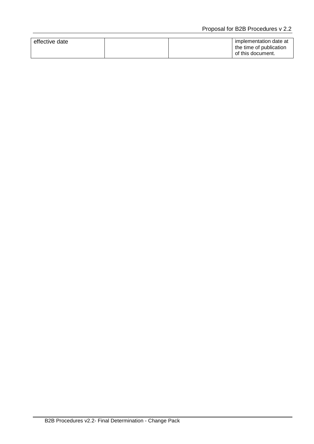| effective date |  | implementation date at  |
|----------------|--|-------------------------|
|                |  | the time of publication |
|                |  | of this document.       |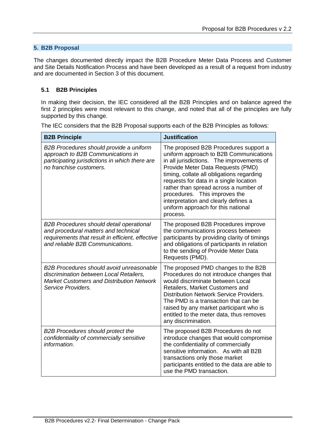#### **5. B2B Proposal**

The changes documented directly impact the B2B Procedure Meter Data Process and Customer and Site Details Notification Process and have been developed as a result of a request from industry and are documented in Section 3 of this document.

#### **5.1 B2B Principles**

In making their decision, the IEC considered all the B2B Principles and on balance agreed the first 2 principles were most relevant to this change, and noted that all of the principles are fully supported by this change.

| <b>B2B Principle</b>                                                                                                                                                            | <b>Justification</b>                                                                                                                                                                                                                                                                                                                                                                                                         |
|---------------------------------------------------------------------------------------------------------------------------------------------------------------------------------|------------------------------------------------------------------------------------------------------------------------------------------------------------------------------------------------------------------------------------------------------------------------------------------------------------------------------------------------------------------------------------------------------------------------------|
| B2B Procedures should provide a uniform<br>approach to B2B Communications in<br>participating jurisdictions in which there are<br>no franchise customers.                       | The proposed B2B Procedures support a<br>uniform approach to B2B Communications<br>in all jurisdictions. The improvements of<br>Provide Meter Data Requests (PMD)<br>timing, collate all obligations regarding<br>requests for data in a single location<br>rather than spread across a number of<br>procedures. This improves the<br>interpretation and clearly defines a<br>uniform approach for this national<br>process. |
| <b>B2B Procedures should detail operational</b><br>and procedural matters and technical<br>requirements that result in efficient, effective<br>and reliable B2B Communications. | The proposed B2B Procedures improve<br>the communications process between<br>participants by providing clarity of timings<br>and obligations of participants in relation<br>to the sending of Provide Meter Data<br>Requests (PMD).                                                                                                                                                                                          |
| B2B Procedures should avoid unreasonable<br>discrimination between Local Retailers,<br><b>Market Customers and Distribution Network</b><br>Service Providers.                   | The proposed PMD changes to the B2B<br>Procedures do not introduce changes that<br>would discriminate between Local<br>Retailers, Market Customers and<br><b>Distribution Network Service Providers.</b><br>The PMD is a transaction that can be<br>raised by any market participant who is<br>entitled to the meter data, thus removes<br>any discrimination.                                                               |
| <b>B2B Procedures should protect the</b><br>confidentiality of commercially sensitive<br>information.                                                                           | The proposed B2B Procedures do not<br>introduce changes that would compromise<br>the confidentiality of commercially<br>sensitive information. As with all B2B<br>transactions only those market<br>participants entitled to the data are able to<br>use the PMD transaction.                                                                                                                                                |

The IEC considers that the B2B Proposal supports each of the B2B Principles as follows: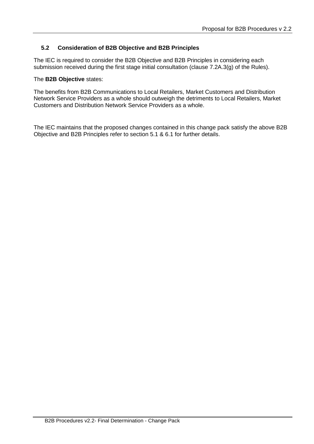#### **5.2 Consideration of B2B Objective and B2B Principles**

The IEC is required to consider the B2B Objective and B2B Principles in considering each submission received during the first stage initial consultation (clause 7.2A.3(g) of the Rules).

#### The **B2B Objective** states:

The benefits from B2B Communications to Local Retailers, Market Customers and Distribution Network Service Providers as a whole should outweigh the detriments to Local Retailers, Market Customers and Distribution Network Service Providers as a whole.

The IEC maintains that the proposed changes contained in this change pack satisfy the above B2B Objective and B2B Principles refer to section 5.1 & 6.1 for further details.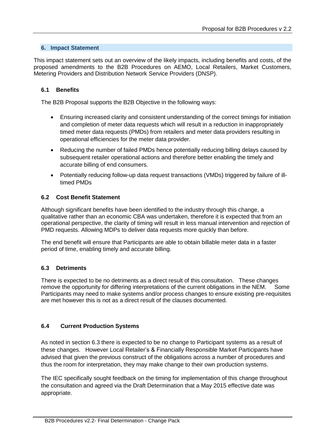#### **6. Impact Statement**

This impact statement sets out an overview of the likely impacts, including benefits and costs, of the proposed amendments to the B2B Procedures on AEMO, Local Retailers, Market Customers, Metering Providers and Distribution Network Service Providers (DNSP).

#### **6.1 Benefits**

The B2B Proposal supports the B2B Objective in the following ways:

- Ensuring increased clarity and consistent understanding of the correct timings for initiation and completion of meter data requests which will result in a reduction in inappropriately timed meter data requests (PMDs) from retailers and meter data providers resulting in operational efficiencies for the meter data provider.
- Reducing the number of failed PMDs hence potentially reducing billing delays caused by subsequent retailer operational actions and therefore better enabling the timely and accurate billing of end consumers.
- Potentially reducing follow-up data request transactions (VMDs) triggered by failure of illtimed PMDs

#### **6.2 Cost Benefit Statement**

Although significant benefits have been identified to the industry through this change, a qualitative rather than an economic CBA was undertaken, therefore it is expected that from an operational perspective, the clarity of timing will result in less manual intervention and rejection of PMD requests. Allowing MDPs to deliver data requests more quickly than before.

The end benefit will ensure that Participants are able to obtain billable meter data in a faster period of time, enabling timely and accurate billing.

#### **6.3 Detriments**

There is expected to be no detriments as a direct result of this consultation. These changes remove the opportunity for differing interpretations of the current obligations in the NEM. Some Participants may need to make systems and/or process changes to ensure existing pre-requisites are met however this is not as a direct result of the clauses documented.

#### **6.4 Current Production Systems**

As noted in section 6.3 there is expected to be no change to Participant systems as a result of these changes. However Local Retailer's & Financially Responsible Market Participants have advised that given the previous construct of the obligations across a number of procedures and thus the room for interpretation, they may make change to their own production systems.

The IEC specifically sought feedback on the timing for implementation of this change throughout the consultation and agreed via the Draft Determination that a May 2015 effective date was appropriate.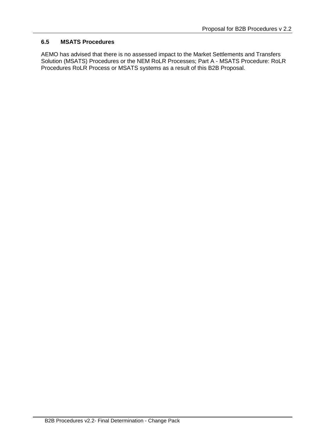#### **6.5 MSATS Procedures**

AEMO has advised that there is no assessed impact to the Market Settlements and Transfers Solution (MSATS) Procedures or the NEM RoLR Processes; Part A - MSATS Procedure: RoLR Procedures RoLR Process or MSATS systems as a result of this B2B Proposal.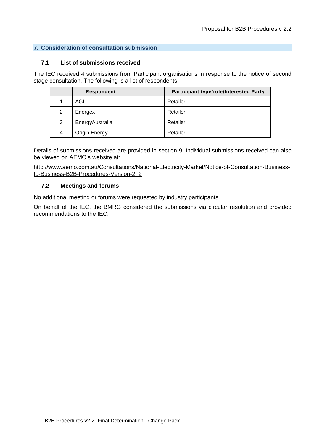### **7. Consideration of consultation submission**

#### **7.1 List of submissions received**

The IEC received 4 submissions from Participant organisations in response to the notice of second stage consultation. The following is a list of respondents:

|               | <b>Respondent</b> | <b>Participant type/role/Interested Party</b> |
|---------------|-------------------|-----------------------------------------------|
|               | AGL               | Retailer                                      |
| $\mathcal{P}$ | Energex           | Retailer                                      |
| 3             | EnergyAustralia   | Retailer                                      |
| 4             | Origin Energy     | Retailer                                      |

Details of submissions received are provided in section 9. Individual submissions received can also be viewed on AEMO's website at:

[http://www.aemo.com.au/Consultations/National-Electricity-Market/Notice-of-Consultation-Business](http://www.aemo.com.au/Consultations/National-Electricity-Market/Notice-of-Consultation-Business-to-Business-B2B-Procedures-Version-2_2)[to-Business-B2B-Procedures-Version-2\\_2](http://www.aemo.com.au/Consultations/National-Electricity-Market/Notice-of-Consultation-Business-to-Business-B2B-Procedures-Version-2_2)

#### **7.2 Meetings and forums**

No additional meeting or forums were requested by industry participants.

On behalf of the IEC, the BMRG considered the submissions via circular resolution and provided recommendations to the IEC.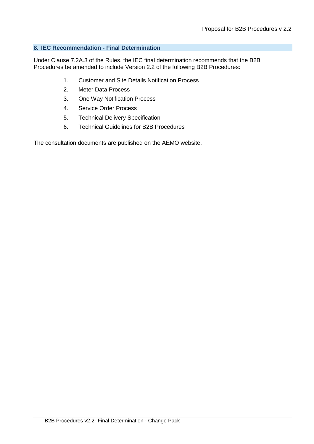#### **8. IEC Recommendation - Final Determination**

Under Clause 7.2A.3 of the Rules, the IEC final determination recommends that the B2B Procedures be amended to include Version 2.2 of the following B2B Procedures:

- 1. Customer and Site Details Notification Process
- 2. Meter Data Process
- 3. One Way Notification Process
- 4. Service Order Process
- 5. Technical Delivery Specification
- 6. Technical Guidelines for B2B Procedures

The consultation documents are published on the AEMO website.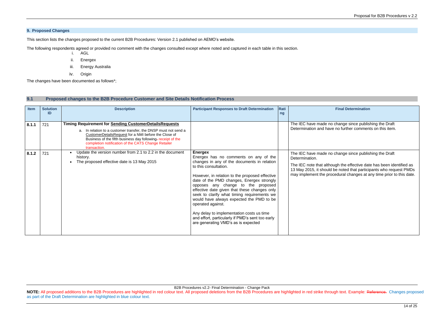B2B Procedures v2.2- Final Determination - Change Pack **NOTE:** All proposed additions to the B2B Procedures are highlighted in red colour text. All proposed deletions from the B2B Procedures are highlighted in red strike through text. Example: Reference. Changes proposed as part of the Draft Determination are highlighted in blue colour text.

#### **9. Proposed Changes**

This section lists the changes proposed to the current B2B Procedures: Version 2.1 published on AEMO's website.

The following respondents agreed or provided no comment with the changes consulted except where noted and captured in each table in this section.

- i. AGL
- ii. Energex
- iii. Energy Australia
- iv. Origin

The changes have been documented as follows\*;

#### **9.1 Proposed changes to the B2B Procedure Customer and Site Details Notification Process**

#### **Final Determination**

change since publishing the Draft no further comments on this item.

change since publishing the Draft

Igh the effective date has been identified as be noted that participants who request PMDs edural changes at any time prior to this date.

| Item  | <b>Solution</b><br>ID | <b>Description</b>                                                                                                                                                                                                                                                                                                             | <b>Participant Responses to Draft Determination</b>                                                                                                                                                                                                                                                                                                                                                                                                                                                                                                                          | Rati<br>ng |                                                                                                                              |
|-------|-----------------------|--------------------------------------------------------------------------------------------------------------------------------------------------------------------------------------------------------------------------------------------------------------------------------------------------------------------------------|------------------------------------------------------------------------------------------------------------------------------------------------------------------------------------------------------------------------------------------------------------------------------------------------------------------------------------------------------------------------------------------------------------------------------------------------------------------------------------------------------------------------------------------------------------------------------|------------|------------------------------------------------------------------------------------------------------------------------------|
| 8.1.1 | 721                   | <b>Timing Requirement for Sending CustomerDetailsRequests</b><br>a. In relation to a customer transfer, the DNSP must not send a<br>CustomerDetailsRequest for a NMI before the Close of<br>Business of the fifth business day following-receipt of the<br>completion notification of the CATS Change Retailer<br>transaction. |                                                                                                                                                                                                                                                                                                                                                                                                                                                                                                                                                                              |            | The IEC have made no o<br>Determination and have                                                                             |
| 8.1.2 | 721                   | Update the version number from 2.1 to 2.2 in the document<br>history.<br>The proposed effective date is 13 May 2015                                                                                                                                                                                                            | <b>Energex</b><br>Energex has no comments on any of the<br>changes in any of the documents in relation<br>to this consultation.<br>However, in relation to the proposed effective<br>date of the PMD changes, Energex strongly<br>opposes any change to the proposed<br>effective date given that these changes only<br>seek to clarify what timing requirements we<br>would have always expected the PMD to be<br>operated against.<br>Any delay to implementation costs us time<br>and effort, particularly if PMD's sent too early<br>are generating VMD's as is expected |            | The IEC have made no o<br>Determination.<br>The IEC note that althou-<br>13 May 2015, it should b<br>may implement the proce |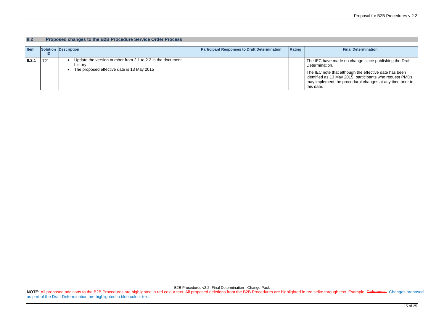**Paral Determination** 

ade no change since publishing the Draft

#### B2B Procedures v2.2- Final Determination - Change Pack NOTE: All proposed additions to the B2B Procedures are highlighted in red colour text. All proposed deletions from the B2B Procedures are highlighted in red strike through text. Example: Reference. Changes proposed as part of the Draft Determination are highlighted in blue colour text.

at although the effective date has been identified as 13 May 2015, participants who request PMDs may implement the procedural changes at any time prior to

| 9.2   |     | Proposed changes to the B2B Procedure Service Order Process           |                                                     |        |                                                                          |
|-------|-----|-----------------------------------------------------------------------|-----------------------------------------------------|--------|--------------------------------------------------------------------------|
| Item  | ID  | Solution Description                                                  | <b>Participant Responses to Draft Determination</b> | Rating |                                                                          |
| 8.2.1 | 721 | Update the version number from 2.1 to 2.2 in the document<br>history. |                                                     |        | The IEC have ma<br>Determination.                                        |
|       |     | The proposed effective date is 13 May 2015<br>$\bullet$               |                                                     |        | The IEC note tha<br>identified as 13 N<br>may implement th<br>this date. |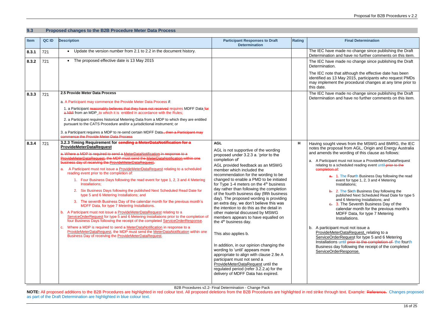made no change since publishing the Draft and have no further comments on this item. made no change since publishing the Draft

hat although the effective date has been May 2015, participants who request PMDs the procedural changes at any time prior to

made no change since publishing the Draft and have no further comments on this item.

views from the MSWG and BMRG, the IEC osal from AGL, Origin and Energy Australia e wording of this clause as follows:

B2B Procedures v2.2- Final Determination - Change Pack

**NOTE:** All proposed additions to the B2B Procedures are highlighted in red colour text. All proposed deletions from the B2B Procedures are highlighted in red strike through text. Example: Reference. Changes proposed as part of the Draft Determination are highlighted in blue colour text.

#### **9.3 Proposed changes to the B2B Procedure Meter Data Process**

must not issue a ProvideMeterDataRequest scheduled reading event until prior to the completion of:

1. The Fourth Business Day following the read event for type 1, 2, 3 and 4 Metering Installations;

| <b>Item</b> | QC ID | <b>Description</b>                                                                                                                                                                                                                                                                                                                                                                                                                                                                                                                                                                                                                                                                                                                                                                                                                                                                                                                                                                                                                                                                                                                                                                                                                                                                                                            | <b>Participant Responses to Draft</b><br><b>Determination</b>                                                                                                                                                                                                                                                                                                                                                                                                                                                                                                                                                                                                                                                                                                                                                                                                                                                                                                       | <b>Rating</b> |                                                                                                                                                                                                                                                        |
|-------------|-------|-------------------------------------------------------------------------------------------------------------------------------------------------------------------------------------------------------------------------------------------------------------------------------------------------------------------------------------------------------------------------------------------------------------------------------------------------------------------------------------------------------------------------------------------------------------------------------------------------------------------------------------------------------------------------------------------------------------------------------------------------------------------------------------------------------------------------------------------------------------------------------------------------------------------------------------------------------------------------------------------------------------------------------------------------------------------------------------------------------------------------------------------------------------------------------------------------------------------------------------------------------------------------------------------------------------------------------|---------------------------------------------------------------------------------------------------------------------------------------------------------------------------------------------------------------------------------------------------------------------------------------------------------------------------------------------------------------------------------------------------------------------------------------------------------------------------------------------------------------------------------------------------------------------------------------------------------------------------------------------------------------------------------------------------------------------------------------------------------------------------------------------------------------------------------------------------------------------------------------------------------------------------------------------------------------------|---------------|--------------------------------------------------------------------------------------------------------------------------------------------------------------------------------------------------------------------------------------------------------|
| 8.3.1       | 721   | Update the version number from 2.1 to 2.2 in the document history.<br>$\bullet$                                                                                                                                                                                                                                                                                                                                                                                                                                                                                                                                                                                                                                                                                                                                                                                                                                                                                                                                                                                                                                                                                                                                                                                                                                               |                                                                                                                                                                                                                                                                                                                                                                                                                                                                                                                                                                                                                                                                                                                                                                                                                                                                                                                                                                     |               | The IEC have r<br>Determination a                                                                                                                                                                                                                      |
| 8.3.2       | 721   | The proposed effective date is 13 May 2015<br>$\bullet$                                                                                                                                                                                                                                                                                                                                                                                                                                                                                                                                                                                                                                                                                                                                                                                                                                                                                                                                                                                                                                                                                                                                                                                                                                                                       |                                                                                                                                                                                                                                                                                                                                                                                                                                                                                                                                                                                                                                                                                                                                                                                                                                                                                                                                                                     |               | The IEC have r<br>Determination.                                                                                                                                                                                                                       |
|             |       |                                                                                                                                                                                                                                                                                                                                                                                                                                                                                                                                                                                                                                                                                                                                                                                                                                                                                                                                                                                                                                                                                                                                                                                                                                                                                                                               |                                                                                                                                                                                                                                                                                                                                                                                                                                                                                                                                                                                                                                                                                                                                                                                                                                                                                                                                                                     |               | The IEC note th<br>identified as 13<br>may implement<br>this date.                                                                                                                                                                                     |
| 8.3.3       | 721   | 2.5 Provide Meter Data Process                                                                                                                                                                                                                                                                                                                                                                                                                                                                                                                                                                                                                                                                                                                                                                                                                                                                                                                                                                                                                                                                                                                                                                                                                                                                                                |                                                                                                                                                                                                                                                                                                                                                                                                                                                                                                                                                                                                                                                                                                                                                                                                                                                                                                                                                                     |               | The IEC have r<br>Determination a                                                                                                                                                                                                                      |
|             |       | a. A Participant may commence the Provide Meter Data Process if:                                                                                                                                                                                                                                                                                                                                                                                                                                                                                                                                                                                                                                                                                                                                                                                                                                                                                                                                                                                                                                                                                                                                                                                                                                                              |                                                                                                                                                                                                                                                                                                                                                                                                                                                                                                                                                                                                                                                                                                                                                                                                                                                                                                                                                                     |               |                                                                                                                                                                                                                                                        |
|             |       | 1. a Participant reasonably believes that they have not received requires MDFF Data for<br>a NMI from an MDP <sub>_</sub> , to which it is entitled in accordance with the Rules;                                                                                                                                                                                                                                                                                                                                                                                                                                                                                                                                                                                                                                                                                                                                                                                                                                                                                                                                                                                                                                                                                                                                             |                                                                                                                                                                                                                                                                                                                                                                                                                                                                                                                                                                                                                                                                                                                                                                                                                                                                                                                                                                     |               |                                                                                                                                                                                                                                                        |
|             |       | 2. a Participant requires historical Metering Data from a MDP to which they are entitled<br>pursuant to the CATS Procedure and/or a jurisdictional instrument; or                                                                                                                                                                                                                                                                                                                                                                                                                                                                                                                                                                                                                                                                                                                                                                                                                                                                                                                                                                                                                                                                                                                                                             |                                                                                                                                                                                                                                                                                                                                                                                                                                                                                                                                                                                                                                                                                                                                                                                                                                                                                                                                                                     |               |                                                                                                                                                                                                                                                        |
|             |       | 3. a Participant requires a MDP to re-send certain MDFF Data <sub>n</sub> then a Participant may<br>commence the Provide Meter Data Process                                                                                                                                                                                                                                                                                                                                                                                                                                                                                                                                                                                                                                                                                                                                                                                                                                                                                                                                                                                                                                                                                                                                                                                   |                                                                                                                                                                                                                                                                                                                                                                                                                                                                                                                                                                                                                                                                                                                                                                                                                                                                                                                                                                     |               |                                                                                                                                                                                                                                                        |
| 8.3.4       | 721   | 3.2.3 Timing Requirement for sending a MeterDataNotification for a<br><b>ProvideMeterDataRequest</b><br>a. Where a MDP is required to send a MeterDataNotification in response to a<br>ProvideMeterDataRequest, the MDP must send the MeterDataNotification within one<br>business day of receiving the ProvideMeterDataRequest.<br>A Participant must not issue a ProvideMeterDataRequest relating to a scheduled<br>а.<br>reading event prior to the completion of:<br>1. Four Business Days following the read event for type 1, 2, 3 and 4 Metering<br>Installations;<br>2. Six Business Days following the published Next Scheduled Read Date for<br>type 5 and 6 Metering Installations; and<br>3. The seventh Business Day of the calendar month for the previous month's<br>MDFF Data, for type 7 Metering Installations.<br>b. A Participant must not issue a ProvideMeterDataRequest relating to a<br>ServiceOrderRequest for type 5 and 6 Metering Installations prior to the completion of<br>four Business Days following the receipt of the completed ServiceOrderResponse.<br>c. Where a MDP is required to send a MeterDataNotification in response to a<br>ProvideMeterDataRequest, the MDP must send the MeterDataNotification within one<br>Business Day of receiving the <b>ProvideMeterDataRequest</b> . | <b>AGL</b><br>AGL is not supportive of the wording<br>proposed under 3.2.3 a. 'prior to the<br>completion of'<br>AGL provided feedback as an MSWG<br>member which included the<br>recommendation for the wording to be<br>changed to enable a PMD to be initiated<br>for Type 1-4 meters on the $4th$ business<br>day rather than following the completion<br>of the fourth business day (fifth business<br>day). The proposed wording is providing<br>an extra day, we don't believe this was<br>the intention to do this as the detail in<br>other material discussed by MSWG<br>members appears to have equalled on<br>the 4 <sup>th</sup> business day.<br>This also applies b.<br>In addition, in our opinion changing the<br>wording to 'until' appears more<br>appropriate to align with clause 2.9e A<br>participant must not send a<br>ProvideMeterDataRequest until the<br>regulated period (refer 3.2.2.a) for the<br>delivery of MDFF Data has expired. | н             | Having sought<br>notes the propo<br>and amends the<br>a. A Participant<br>relating to a<br>completion o<br>$a_{\overline{c}}$<br>$\theta$ .<br>b. A participar<br>ProvideMet<br><b>ServiceOrd</b><br>Installations<br>Business da<br><b>ServiceOrd</b> |

2. The Sixth Business Day following the published Next Scheduled Read Date for type 5 and 6 Metering Installations; and 3. The Seventh Business Day of the calendar month for the previous month's MDFF Data, for type 7 Metering Installations.

nt must not issue a terDataRequest, relating to a lerRequest for type 5 and 6 Metering s until prior to the completion of the fourth ay following the receipt of the completed erResponse.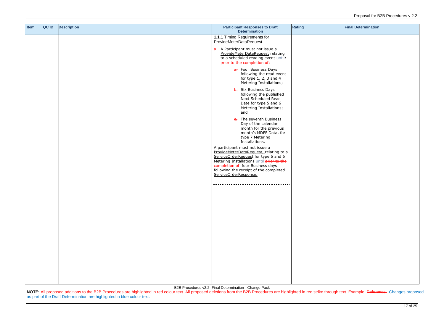B2B Procedures v2.2- Final Determination - Change Pack

NOTE: All proposed additions to the B2B Procedures are highlighted in red colour text. All proposed deletions from the B2B Procedures are highlighted in red strike through text. Example: Reference. Changes proposed as part of the Draft Determination are highlighted in blue colour text.

| <b>Item</b> | QC ID | <b>Description</b> | <b>Participant Responses to Draft</b><br><b>Determination</b>                                                                                                                                                                                                        | <b>Rating</b> |  |
|-------------|-------|--------------------|----------------------------------------------------------------------------------------------------------------------------------------------------------------------------------------------------------------------------------------------------------------------|---------------|--|
|             |       |                    | 1.1.1 Timing Requirements for<br>ProvideMeterDataRequest.                                                                                                                                                                                                            |               |  |
|             |       |                    | a. A Participant must not issue a<br>ProvideMeterDataRequest relating<br>to a scheduled reading event until:<br>prior to the completion of:                                                                                                                          |               |  |
|             |       |                    | a. Four Business Days<br>following the read event<br>for type $1, 2, 3$ and $4$<br>Metering Installations;                                                                                                                                                           |               |  |
|             |       |                    | <b>b.</b> Six Business Days<br>following the published<br>Next Scheduled Read<br>Date for type 5 and 6<br>Metering Installations;<br>and                                                                                                                             |               |  |
|             |       |                    | e. The seventh Business<br>Day of the calendar<br>month for the previous<br>month's MDFF Data, for<br>type 7 Metering<br>Installations.                                                                                                                              |               |  |
|             |       |                    | A participant must not issue a<br>ProvideMeterDataRequest, relating to a<br>ServiceOrderRequest for type 5 and 6<br>Metering Installations until prior to the<br>completion of four Business days<br>following the receipt of the completed<br>ServiceOrderResponse. |               |  |
|             |       |                    |                                                                                                                                                                                                                                                                      |               |  |
|             |       |                    |                                                                                                                                                                                                                                                                      |               |  |
|             |       |                    |                                                                                                                                                                                                                                                                      |               |  |
|             |       |                    |                                                                                                                                                                                                                                                                      |               |  |
|             |       |                    |                                                                                                                                                                                                                                                                      |               |  |
|             |       |                    |                                                                                                                                                                                                                                                                      |               |  |
|             |       |                    |                                                                                                                                                                                                                                                                      |               |  |
|             |       |                    |                                                                                                                                                                                                                                                                      |               |  |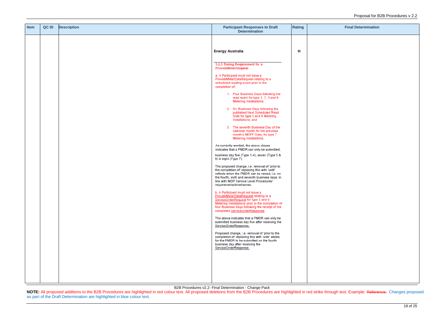B2B Procedures v2.2- Final Determination - Change Pack

NOTE: All proposed additions to the B2B Procedures are highlighted in red colour text. All proposed deletions from the B2B Procedures are highlighted in red strike through text. Example: Reference. Changes proposed as part of the Draft Determination are highlighted in blue colour text.

| Item | QC ID | <b>Description</b> | <b>Participant Responses to Draft</b><br><b>Determination</b>                                                                                                                                                                                                                                                                                                                                                                                                                                                                                                                                                                                                                                                                                                                                                                                                                                                                                                                                                                                                                                                                                                                                                                                                                                                                                                                                                                                                                                                                                                           | <b>Rating</b> |  |
|------|-------|--------------------|-------------------------------------------------------------------------------------------------------------------------------------------------------------------------------------------------------------------------------------------------------------------------------------------------------------------------------------------------------------------------------------------------------------------------------------------------------------------------------------------------------------------------------------------------------------------------------------------------------------------------------------------------------------------------------------------------------------------------------------------------------------------------------------------------------------------------------------------------------------------------------------------------------------------------------------------------------------------------------------------------------------------------------------------------------------------------------------------------------------------------------------------------------------------------------------------------------------------------------------------------------------------------------------------------------------------------------------------------------------------------------------------------------------------------------------------------------------------------------------------------------------------------------------------------------------------------|---------------|--|
|      |       |                    |                                                                                                                                                                                                                                                                                                                                                                                                                                                                                                                                                                                                                                                                                                                                                                                                                                                                                                                                                                                                                                                                                                                                                                                                                                                                                                                                                                                                                                                                                                                                                                         |               |  |
|      |       |                    | <b>Energy Australia</b>                                                                                                                                                                                                                                                                                                                                                                                                                                                                                                                                                                                                                                                                                                                                                                                                                                                                                                                                                                                                                                                                                                                                                                                                                                                                                                                                                                                                                                                                                                                                                 | н             |  |
|      |       |                    | 3.2.3 Timing Requirement for a<br>ProvideMeterRequest<br>a. A Participant must not issue a<br>ProvideMeterDataRequest relating to a<br>scheduled reading event prior to the<br>completion of:<br>1. Four Business Days following the<br>read event for type 1, 2, 3 and 4<br>Metering Installations;<br>2. Six Business Days following the<br>published Next Scheduled Read<br>Date for type 5 and 6 Metering<br>Installations; and<br>3. The seventh Business Day of the<br>calendar month for the previous<br>month's MDFF Data, for type 7<br>Metering Installations.<br>As currently worded, the above clause<br>indicates that a PMDR can only be submitted,<br>business day five (Type 1-4), seven (Type 5 &<br>6) & eight (Type 7).<br>The proposed change, i.e. removal of 'prior to<br>the completion of replacing this with 'until'<br>reflects when the PMDR can be raised, i.e. on<br>the fourth, sixth and seventh business days, in<br>line with MDP Service Level Procedures'<br>requirements/timeframes.<br>b. A Participant must not issue a<br>ProvideMeterDataRequest relating to a<br>ServiceOrderRequest for type 5 and 6<br>Metering Installations prior to the completion of<br>four Business Days following the receipt of the<br>completed ServiceOrderResponse<br>The above indicates that a PMDR can only be<br>submitted business day five after receiving the<br>ServiceOrderResponse.<br>Proposed change, i.e. removal of 'prior to the<br>completion of replacing this with 'until' allows<br>for the PMDR to be submitted on the fourth |               |  |
|      |       |                    | business day after receiving the<br>ServiceOrderResponse.                                                                                                                                                                                                                                                                                                                                                                                                                                                                                                                                                                                                                                                                                                                                                                                                                                                                                                                                                                                                                                                                                                                                                                                                                                                                                                                                                                                                                                                                                                               |               |  |
|      |       |                    |                                                                                                                                                                                                                                                                                                                                                                                                                                                                                                                                                                                                                                                                                                                                                                                                                                                                                                                                                                                                                                                                                                                                                                                                                                                                                                                                                                                                                                                                                                                                                                         |               |  |
|      |       |                    |                                                                                                                                                                                                                                                                                                                                                                                                                                                                                                                                                                                                                                                                                                                                                                                                                                                                                                                                                                                                                                                                                                                                                                                                                                                                                                                                                                                                                                                                                                                                                                         |               |  |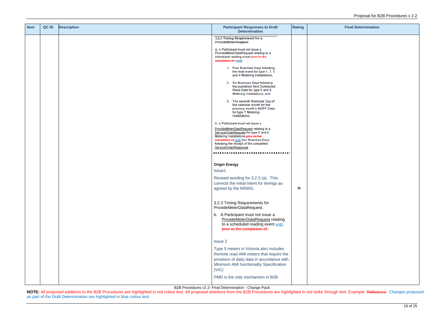B2B Procedures v2.2- Final Determination - Change Pack

NOTE: All proposed additions to the B2B Procedures are highlighted in red colour text. All proposed deletions from the B2B Procedures are highlighted in red strike through text. Example: Reference. Changes proposed as part of the Draft Determination are highlighted in blue colour text.

| <b>Item</b> | QC ID | <b>Description</b> | <b>Participant Responses to Draft</b><br><b>Determination</b>                                                                                                                                                                                                          | <b>Rating</b> |  |
|-------------|-------|--------------------|------------------------------------------------------------------------------------------------------------------------------------------------------------------------------------------------------------------------------------------------------------------------|---------------|--|
|             |       |                    | 3.2.3 Timing Requirement for a<br>ProvideMeterRequest                                                                                                                                                                                                                  |               |  |
|             |       |                    | a. A Participant must not issue a<br>ProvideMeterDataRequest relating to a<br>scheduled reading event prior to the<br>completion of: until                                                                                                                             |               |  |
|             |       |                    | 1. Four Business Days following<br>the read event for type 1, 2, 3<br>and 4 Metering Installations;                                                                                                                                                                    |               |  |
|             |       |                    | 2. Six Business Days following<br>the published Next Scheduled<br>Read Date for type 5 and 6<br>Metering Installations; and                                                                                                                                            |               |  |
|             |       |                    | 3. The seventh Business Day of<br>the calendar month for the<br>previous month's MDFF Data,<br>for type 7 Metering<br>Installations.                                                                                                                                   |               |  |
|             |       |                    | b. A Participant must not issue a<br>ProvideMeterDataRequest relating to a<br>ServiceOrderRequest for type 5 and 6<br>Metering Installations prior to the<br>completion of until four Business Days<br>following the receipt of the completed<br>ServiceOrderResponse. |               |  |
|             |       |                    | <b>Origin Energy</b>                                                                                                                                                                                                                                                   |               |  |
|             |       |                    | Issue1<br>Revised wording for 3.2.3 (a). This                                                                                                                                                                                                                          |               |  |
|             |       |                    | corrects the initial intent for timings as<br>agreed by the MSWG.                                                                                                                                                                                                      | н             |  |
|             |       |                    | 3.2.3 Timing Requirements for<br>ProvideMeterDataRequest.                                                                                                                                                                                                              |               |  |
|             |       |                    | b. A Participant must not issue a<br>ProvideMeterDataRequest relating<br>to a scheduled reading event until:<br>prior to the completion of:                                                                                                                            |               |  |
|             |       |                    | <b>Issue 2</b>                                                                                                                                                                                                                                                         |               |  |
|             |       |                    | Type 5 meters in Victoria also includes<br>Remote read AMI meters that require the<br>provision of daily data in accordance with<br>Minimum AMI functionality Specification<br>(VIC)                                                                                   |               |  |
|             |       |                    | PMD is the only mechanism in B2B                                                                                                                                                                                                                                       |               |  |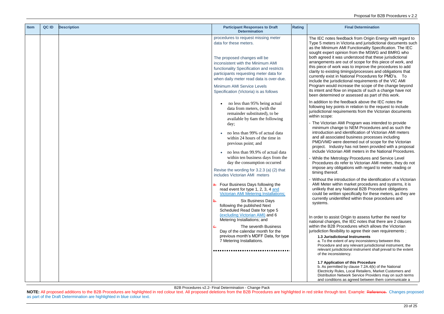feedback from Origin Energy with regard to in Victoria and jurisdictional documents such m AMI Functionality Specification. The IEC opinion from the MSWG and BMRG who was understood that these jurisdictional are out of scope for this piece of work, and ork was to improve the procedures to add ng timings/processes and obligations that in National Procedures for PMD's. To sdictional requirements of the VIC AMI increase the scope of the change beyond ow on impacts of such a change have not  $ed$  or assessed as part of this work.

ne feedback above the IEC notes the oints in relation to the request to include equirements from the Victorian documents

AMI Program was intended to provide ange to NEM Procedures and as such the and identification of Victorian AMI meters ciated business processes including ere deemed out of scope for the Victorian ustry has not been provided with a proposal rian AMI meters in the National Procedures.

trology Procedures and Service Level to refer to Victorian AMI meters, they do not biligations with regard to meter reading or

ntroduction of the identification of a Victorian ithin market procedures and systems, it is any National B2B Procedure obligations ten specifically for these meters, as they are dentified within those procedures and

ist Origin to assess further the need for es, the IEC notes that there are 2 clauses Procedures which allows the Victorian ibility to agree their own requirements ;

B2B Procedures v2.2- Final Determination - Change Pack

**NOTE:** All proposed additions to the B2B Procedures are highlighted in red colour text. All proposed deletions from the B2B Procedures are highlighted in red strike through text. Example: Reference. Changes proposed as part of the Draft Determination are highlighted in blue colour text.

| <b>Item</b> | QC ID | <b>Description</b> | <b>Participant Responses to Draft</b><br><b>Determination</b>                                                                                                                                                                                                                                      | <b>Rating</b> |                                                                                                                                                                                                                         |
|-------------|-------|--------------------|----------------------------------------------------------------------------------------------------------------------------------------------------------------------------------------------------------------------------------------------------------------------------------------------------|---------------|-------------------------------------------------------------------------------------------------------------------------------------------------------------------------------------------------------------------------|
|             |       |                    | procedures to request missing meter<br>data for these meters.<br>The proposed changes will be<br>inconsistent with the Minimum AMI<br>functionality Specification and restricts<br>participants requesting meter data for<br>when daily meter read data is over-due.<br>Minimum AMI Service Levels |               | The IEC notes f<br>Type 5 meters in<br>as the Minimum<br>sought expert of<br>both agreed it w<br>arrangements a<br>this piece of wor<br>clarity to existing<br>currently exist in<br>include the juris<br>Program would |
|             |       |                    | Specification (Victoria) is as follows<br>no less than 95% being actual                                                                                                                                                                                                                            |               | its intent and flo<br>been determine<br>In addition to the                                                                                                                                                              |
|             |       |                    | data from meters, (with the<br>remainder substituted), to be<br>available by 6am the following<br>day;                                                                                                                                                                                             |               | following key po<br>jurisdictional rec<br>within scope:<br>- The Victorian                                                                                                                                              |
|             |       |                    | no less than 99% of actual data<br>within 24 hours of the time in<br>previous point; and<br>no less than 99.9% of actual data                                                                                                                                                                      |               | minimum char<br>introduction ar<br>and all associa<br>PMD/VMD we<br>project. Indus<br>include Victori                                                                                                                   |
|             |       |                    | within ten business days from the<br>day the consumption occurred<br>Revise the wording for 3.2.3 (a) (2) that<br>includes Victorian AMI meters                                                                                                                                                    |               | While the Met<br>Procedures do<br>impose any ob<br>timing thereof.                                                                                                                                                      |
|             |       |                    | a. Four Business Days following the<br>read event for type 1, 2, 3, 4 and<br>Victorian AMI Metering Installations:<br><b>Six Business Days</b><br><del>b.</del><br>following the published Next                                                                                                    |               | Without the int<br><b>AMI Meter witl</b><br>unlikely that a<br>could be writte<br>currently unide<br>systems.                                                                                                           |
|             |       |                    | Scheduled Read Date for type 5<br>(excluding Victorian AMI) and 6<br>Metering Installations; and<br>The seventh Business<br>$\theta$ .<br>Day of the calendar month for the<br>previous month's MDFF Data, for type<br>7 Metering Installations.                                                   |               | In order to assis<br>national change<br>within the B2B F<br>jurisdiction flexit<br>1.3 Jurisdic<br>a. To the ext<br>Procedure a<br>relevant juris<br>of the incons                                                      |
|             |       |                    |                                                                                                                                                                                                                                                                                                    |               | 1.7 Applicat<br>b. As permit<br>Electricity Ru<br>Distribution I<br>and conditio                                                                                                                                        |

#### **1.3 Jurisdictional Instruments**

xtent of any inconsistency between this and any relevant jurisdictional instrument, the isdictional instrument shall prevail to the extent h sistency.

#### **1.7 Application of this Procedure**

itted by clause  $7.2A.4(k)$  of the National Rules, Local Retailers, Market Customers and Network Service Providers may on such terms ons as agreed between them communicate a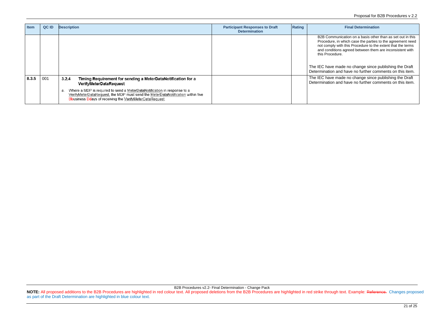| <b>Item</b> | QC ID | <b>Description</b>                                                                                                                                                                                                                                                                                                                      | <b>Participant Responses to Draft</b><br><b>Determination</b> | Rating | <b>Final Determination</b>                                                                                                                                                                                                                                                                                                                                                                 |
|-------------|-------|-----------------------------------------------------------------------------------------------------------------------------------------------------------------------------------------------------------------------------------------------------------------------------------------------------------------------------------------|---------------------------------------------------------------|--------|--------------------------------------------------------------------------------------------------------------------------------------------------------------------------------------------------------------------------------------------------------------------------------------------------------------------------------------------------------------------------------------------|
|             |       |                                                                                                                                                                                                                                                                                                                                         |                                                               |        | B2B Communication on a basis other than as set out in this<br>Procedure, in which case the parties to the agreement nee<br>not comply with this Procedure to the extent that the terms<br>and conditions agreed between them are inconsistent with<br>this Procedure.<br>The IEC have made no change since publishing the Draft<br>Determination and have no further comments on this item |
| 8.3.5       | 001   | 3.2.4<br>Timing Requirement for sending a MeterDataNotification for a<br>VerifyMeterDataRequest<br>Where a MDP is required to send a MeterDataNotification in response to a<br>a.<br>VerifyMeterDataRequest, the MDP must send the MeterDataNotification within five<br><b>Bbusiness Ddays of receiving the VerifyMeterDataRequest.</b> |                                                               |        | The IEC have made no change since publishing the Draft<br>Determination and have no further comments on this item.                                                                                                                                                                                                                                                                         |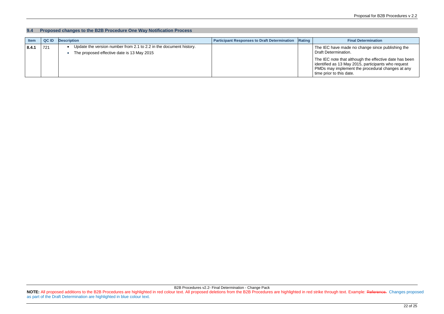e made no change since publishing the nination.

te that although the effective date has been identified as 13 May 2015, participants who request mplement the procedural changes at any this date.

B2B Procedures v2.2- Final Determination - Change Pack NOTE: All proposed additions to the B2B Procedures are highlighted in red colour text. All proposed deletions from the B2B Procedures are highlighted in red strike through text. Example: Reference. Changes proposed as part of the Draft Determination are highlighted in blue colour text.

#### **9.4 Proposed changes to the B2B Procedure One Way Notification Process**

| <b>Item</b> | <b>QCID</b> | <b>Description</b>                                                                                               | <b>Participant Responses to Draft Determination Rating</b> | <b>Final Determination</b>                                                                                                                                                                                          |
|-------------|-------------|------------------------------------------------------------------------------------------------------------------|------------------------------------------------------------|---------------------------------------------------------------------------------------------------------------------------------------------------------------------------------------------------------------------|
| 8.4.1       | 721         | Update the version number from 2.1 to 2.2 in the document history.<br>The proposed effective date is 13 May 2015 |                                                            | The IEC have made no change since<br><b>Draft Determination.</b><br>The IEC note that although the effect<br>identified as 13 May 2015, participan<br>PMDs may implement the procedural<br>time prior to this date. |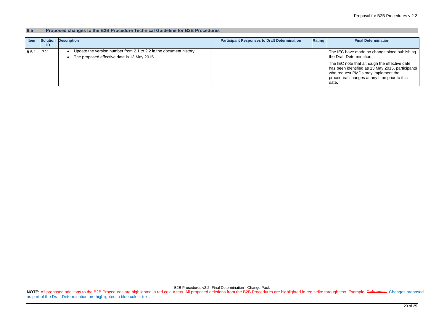IEC have made no change since publishing Draft Determination.

B2B Procedures v2.2- Final Determination - Change Pack NOTE: All proposed additions to the B2B Procedures are highlighted in red colour text. All proposed deletions from the B2B Procedures are highlighted in red strike through text. Example: Reference. Changes proposed as part of the Draft Determination are highlighted in blue colour text.

#### **9.5 Proposed changes to the B2B Procedure Technical Guideline for B2B Procedures**

IEC note that although the effective date has had been identified as 13 May 2015, participants request PMDs may implement the procedural changes at any time prior to this

| <b>Item</b> | ID  | Solution Description                                                                                             | <b>Participant Responses to Draft Determination</b> | Rating | <b>Final Determination</b>                                                                                                                            |
|-------------|-----|------------------------------------------------------------------------------------------------------------------|-----------------------------------------------------|--------|-------------------------------------------------------------------------------------------------------------------------------------------------------|
| 8.5.1       | 721 | Update the version number from 2.1 to 2.2 in the document history.<br>The proposed effective date is 13 May 2015 |                                                     |        | The IEC have made no change s<br>the Draft Determination.                                                                                             |
|             |     |                                                                                                                  |                                                     |        | The IEC note that although the ef<br>has been identified as 13 May 20<br>who request PMDs may impleme<br>procedural changes at any time por-<br>date. |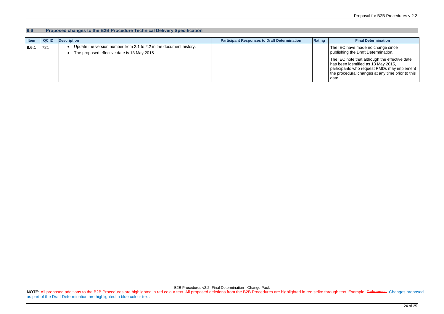IEC have made no change since publishing the Draft Determination.

B2B Procedures v2.2- Final Determination - Change Pack NOTE: All proposed additions to the B2B Procedures are highlighted in red colour text. All proposed deletions from the B2B Procedures are highlighted in red strike through text. Example: Reference. Changes proposed as part of the Draft Determination are highlighted in blue colour text.

#### **9.6 Proposed changes to the B2B Procedure Technical Delivery Specification**

| <b>Item</b> | <b>QCID</b> | <b>Description</b>                                                                                               | <b>Participant Responses to Draft Determination</b> | Rating | <b>Final Determination</b>                                                                                                                            |
|-------------|-------------|------------------------------------------------------------------------------------------------------------------|-----------------------------------------------------|--------|-------------------------------------------------------------------------------------------------------------------------------------------------------|
| 8.6.1       | 721         | Update the version number from 2.1 to 2.2 in the document history.<br>The proposed effective date is 13 May 2015 |                                                     |        | The IEC have made no change s<br>publishing the Draft Determinatio                                                                                    |
|             |             |                                                                                                                  |                                                     |        | The IEC note that although the e<br>has been identified as 13 May 20<br>participants who request PMDs r<br>the procedural changes at any tir<br>date. |

The IEC note that although the effective date has been identified as 13 May 2015, participants who request PMDs may implement procedural changes at any time prior to this date**.**